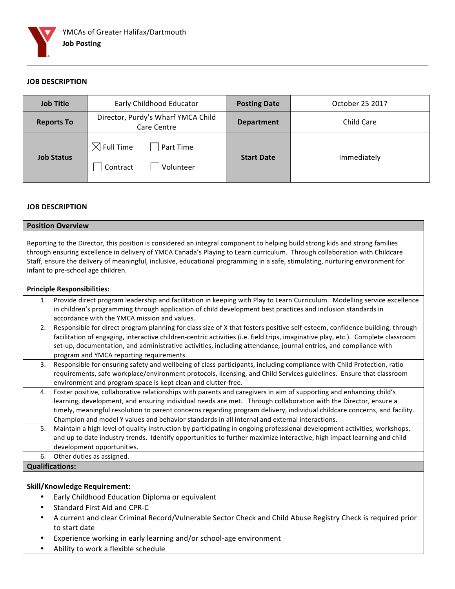

## **JOB DESCRIPTION**

| <b>Job Title</b>  | Early Childhood Educator                                    | <b>Posting Date</b> | October 25 2017   |
|-------------------|-------------------------------------------------------------|---------------------|-------------------|
| <b>Reports To</b> | Director, Purdy's Wharf YMCA Child<br>Care Centre           | <b>Department</b>   | <b>Child Care</b> |
| <b>Job Status</b> | $\boxtimes$ Full Time<br>Part Time<br>Contract<br>Volunteer | <b>Start Date</b>   | Immediately       |

#### **JOB DESCRIPTION**

| <b>Position Overview</b>                                                                                                                                                                                                                                                                                                                                                                                                                                                   |  |  |
|----------------------------------------------------------------------------------------------------------------------------------------------------------------------------------------------------------------------------------------------------------------------------------------------------------------------------------------------------------------------------------------------------------------------------------------------------------------------------|--|--|
| Reporting to the Director, this position is considered an integral component to helping build strong kids and strong families<br>through ensuring excellence in delivery of YMCA Canada's Playing to Learn curriculum. Through collaboration with Childcare<br>Staff, ensure the delivery of meaningful, inclusive, educational programming in a safe, stimulating, nurturing environment for<br>infant to pre-school age children.                                        |  |  |
| <b>Principle Responsibilities:</b>                                                                                                                                                                                                                                                                                                                                                                                                                                         |  |  |
| Provide direct program leadership and facilitation in keeping with Play to Learn Curriculum. Modelling service excellence<br>1.<br>in children's programming through application of child development best practices and inclusion standards in<br>accordance with the YMCA mission and values.                                                                                                                                                                            |  |  |
| Responsible for direct program planning for class size of X that fosters positive self-esteem, confidence building, through<br>2.<br>facilitation of engaging, interactive children-centric activities (i.e. field trips, imaginative play, etc.). Complete classroom<br>set-up, documentation, and administrative activities, including attendance, journal entries, and compliance with<br>program and YMCA reporting requirements.                                      |  |  |
| 3.<br>Responsible for ensuring safety and wellbeing of class participants, including compliance with Child Protection, ratio<br>requirements, safe workplace/environment protocols, licensing, and Child Services guidelines. Ensure that classroom<br>environment and program space is kept clean and clutter-free.                                                                                                                                                       |  |  |
| Foster positive, collaborative relationships with parents and caregivers in aim of supporting and enhancing child's<br>4.<br>learning, development, and ensuring individual needs are met. Through collaboration with the Director, ensure a<br>timely, meaningful resolution to parent concerns regarding program delivery, individual childcare concerns, and facility.<br>Champion and model Y values and behavior standards in all internal and external interactions. |  |  |
| 5.<br>Maintain a high level of quality instruction by participating in ongoing professional development activities, workshops,<br>and up to date industry trends. Identify opportunities to further maximize interactive, high impact learning and child<br>development opportunities.                                                                                                                                                                                     |  |  |
| Other duties as assigned.<br>6.                                                                                                                                                                                                                                                                                                                                                                                                                                            |  |  |
| <b>Qualifications:</b>                                                                                                                                                                                                                                                                                                                                                                                                                                                     |  |  |
|                                                                                                                                                                                                                                                                                                                                                                                                                                                                            |  |  |

# **Skill/Knowledge Requirement:**

- Early Childhood Education Diploma or equivalent
- Standard First Aid and CPR-C
- A current and clear Criminal Record/Vulnerable Sector Check and Child Abuse Registry Check is required prior to start date
- Experience working in early learning and/or school-age environment
- Ability to work a flexible schedule